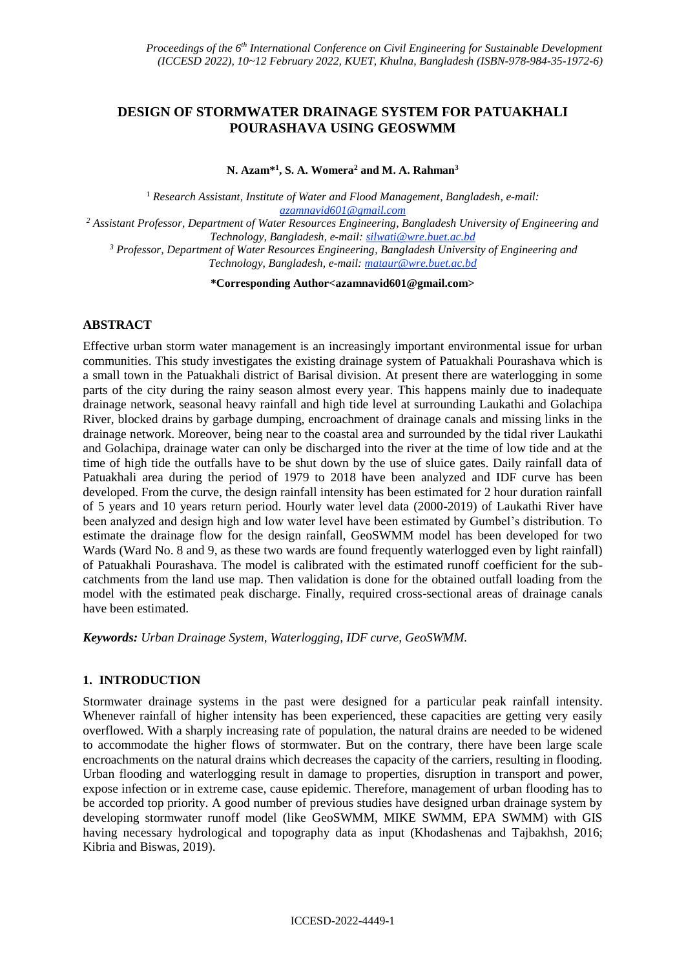# **DESIGN OF STORMWATER DRAINAGE SYSTEM FOR PATUAKHALI POURASHAVA USING GEOSWMM**

**N. Azam\* 1 , S. A. Womera<sup>2</sup> and M. A. Rahman<sup>3</sup>**

<sup>1</sup> Research Assistant, Institute of Water and Flood Management, Bangladesh, e-mail: *azamnavid601@gmail.com <sup>2</sup> Assistant Professor, Department of Water Resources Engineering, Bangladesh University of Engineering and* 

*Technology, Bangladesh, e-mail: silwati@wre.buet.ac.bd <sup>3</sup> Professor, Department of Water Resources Engineering, Bangladesh University of Engineering and Technology, Bangladesh, e-mail: mataur@wre.buet.ac.bd*

**\*Corresponding Author<azamnavid601@gmail.com>**

## **ABSTRACT**

Effective urban storm water management is an increasingly important environmental issue for urban communities. This study investigates the existing drainage system of Patuakhali Pourashava which is a small town in the Patuakhali district of Barisal division. At present there are waterlogging in some parts of the city during the rainy season almost every year. This happens mainly due to inadequate drainage network, seasonal heavy rainfall and high tide level at surrounding Laukathi and Golachipa River, blocked drains by garbage dumping, encroachment of drainage canals and missing links in the drainage network. Moreover, being near to the coastal area and surrounded by the tidal river Laukathi and Golachipa, drainage water can only be discharged into the river at the time of low tide and at the time of high tide the outfalls have to be shut down by the use of sluice gates. Daily rainfall data of Patuakhali area during the period of 1979 to 2018 have been analyzed and IDF curve has been developed. From the curve, the design rainfall intensity has been estimated for 2 hour duration rainfall of 5 years and 10 years return period. Hourly water level data (2000-2019) of Laukathi River have been analyzed and design high and low water level have been estimated by Gumbel's distribution. To estimate the drainage flow for the design rainfall, GeoSWMM model has been developed for two Wards (Ward No. 8 and 9, as these two wards are found frequently waterlogged even by light rainfall) of Patuakhali Pourashava. The model is calibrated with the estimated runoff coefficient for the subcatchments from the land use map. Then validation is done for the obtained outfall loading from the model with the estimated peak discharge. Finally, required cross-sectional areas of drainage canals have been estimated.

*Keywords: Urban Drainage System, Waterlogging, IDF curve, GeoSWMM.*

### **1. INTRODUCTION**

Stormwater drainage systems in the past were designed for a particular peak rainfall intensity. Whenever rainfall of higher intensity has been experienced, these capacities are getting very easily overflowed. With a sharply increasing rate of population, the natural drains are needed to be widened to accommodate the higher flows of stormwater. But on the contrary, there have been large scale encroachments on the natural drains which decreases the capacity of the carriers, resulting in flooding. Urban flooding and waterlogging result in damage to properties, disruption in transport and power, expose infection or in extreme case, cause epidemic. Therefore, management of urban flooding has to be accorded top priority. A good number of previous studies have designed urban drainage system by developing stormwater runoff model (like GeoSWMM, MIKE SWMM, EPA SWMM) with GIS having necessary hydrological and topography data as input (Khodashenas and Tajbakhsh, 2016; Kibria and Biswas, 2019).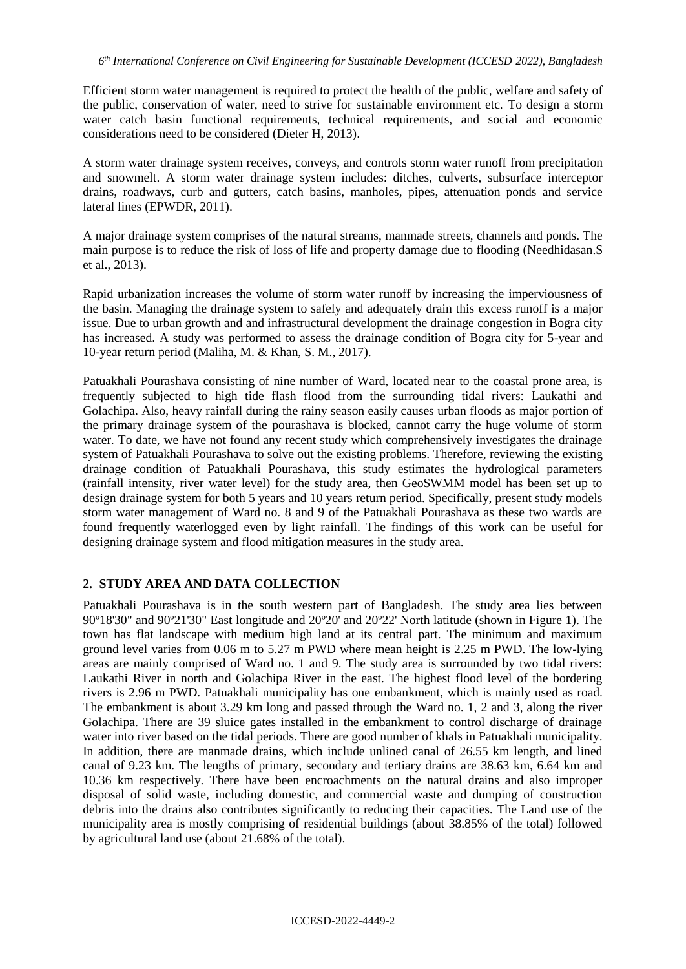Efficient storm water management is required to protect the health of the public, welfare and safety of the public, conservation of water, need to strive for sustainable environment etc. To design a storm water catch basin functional requirements, technical requirements, and social and economic considerations need to be considered (Dieter H, 2013).

A storm water drainage system receives, conveys, and controls storm water runoff from precipitation and snowmelt. A storm water drainage system includes: ditches, culverts, subsurface interceptor drains, roadways, curb and gutters, catch basins, manholes, pipes, attenuation ponds and service lateral lines (EPWDR, 2011).

A major drainage system comprises of the natural streams, manmade streets, channels and ponds. The main purpose is to reduce the risk of loss of life and property damage due to flooding (Needhidasan.S et al., 2013).

Rapid urbanization increases the volume of storm water runoff by increasing the imperviousness of the basin. Managing the drainage system to safely and adequately drain this excess runoff is a major issue. Due to urban growth and and infrastructural development the drainage congestion in Bogra city has increased. A study was performed to assess the drainage condition of Bogra city for 5-year and 10-year return period (Maliha, M. & Khan, S. M., 2017).

Patuakhali Pourashava consisting of nine number of Ward, located near to the coastal prone area, is frequently subjected to high tide flash flood from the surrounding tidal rivers: Laukathi and Golachipa. Also, heavy rainfall during the rainy season easily causes urban floods as major portion of the primary drainage system of the pourashava is blocked, cannot carry the huge volume of storm water. To date, we have not found any recent study which comprehensively investigates the drainage system of Patuakhali Pourashava to solve out the existing problems. Therefore, reviewing the existing drainage condition of Patuakhali Pourashava, this study estimates the hydrological parameters (rainfall intensity, river water level) for the study area, then GeoSWMM model has been set up to design drainage system for both 5 years and 10 years return period. Specifically, present study models storm water management of Ward no. 8 and 9 of the Patuakhali Pourashava as these two wards are found frequently waterlogged even by light rainfall. The findings of this work can be useful for designing drainage system and flood mitigation measures in the study area.

## **2. STUDY AREA AND DATA COLLECTION**

Patuakhali Pourashava is in the south western part of Bangladesh. The study area lies between 90º18'30" and 90º21'30" East longitude and 20º20' and 20º22' North latitude (shown in Figure 1). The town has flat landscape with medium high land at its central part. The minimum and maximum ground level varies from 0.06 m to 5.27 m PWD where mean height is 2.25 m PWD. The low-lying areas are mainly comprised of Ward no. 1 and 9. The study area is surrounded by two tidal rivers: Laukathi River in north and Golachipa River in the east. The highest flood level of the bordering rivers is 2.96 m PWD. Patuakhali municipality has one embankment, which is mainly used as road. The embankment is about 3.29 km long and passed through the Ward no. 1, 2 and 3, along the river Golachipa. There are 39 sluice gates installed in the embankment to control discharge of drainage water into river based on the tidal periods. There are good number of khals in Patuakhali municipality. In addition, there are manmade drains, which include unlined canal of 26.55 km length, and lined canal of 9.23 km. The lengths of primary, secondary and tertiary drains are 38.63 km, 6.64 km and 10.36 km respectively. There have been encroachments on the natural drains and also improper disposal of solid waste, including domestic, and commercial waste and dumping of construction debris into the drains also contributes significantly to reducing their capacities. The Land use of the municipality area is mostly comprising of residential buildings (about 38.85% of the total) followed by agricultural land use (about 21.68% of the total).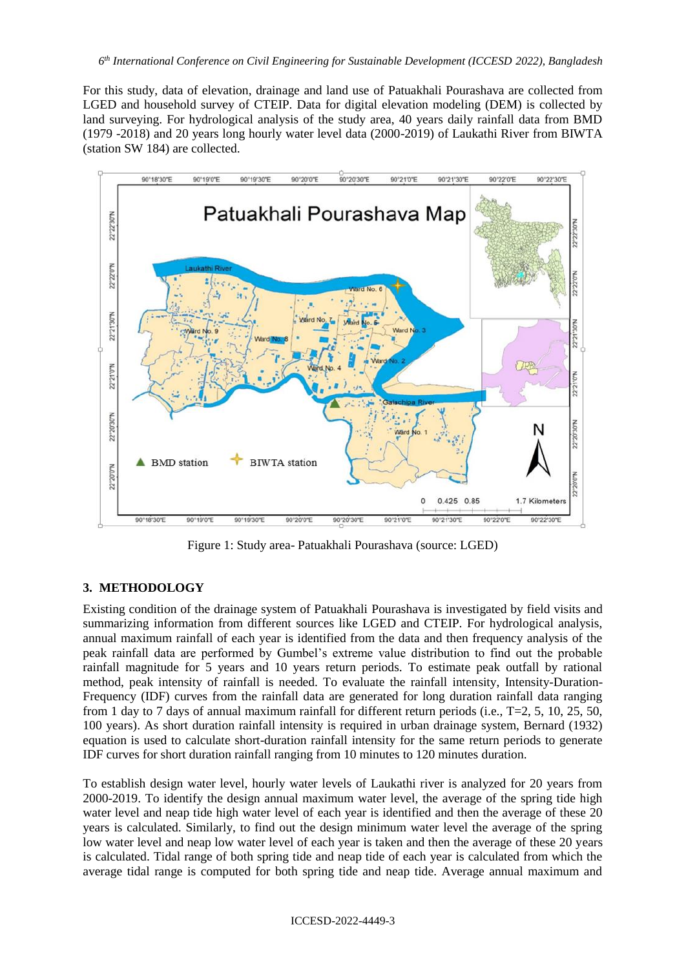For this study, data of elevation, drainage and land use of Patuakhali Pourashava are collected from LGED and household survey of CTEIP. Data for digital elevation modeling (DEM) is collected by land surveying. For hydrological analysis of the study area, 40 years daily rainfall data from BMD (1979 -2018) and 20 years long hourly water level data (2000-2019) of Laukathi River from BIWTA (station SW 184) are collected.



Figure 1: Study area- Patuakhali Pourashava (source: LGED)

## **3. METHODOLOGY**

Existing condition of the drainage system of Patuakhali Pourashava is investigated by field visits and summarizing information from different sources like LGED and CTEIP. For hydrological analysis, annual maximum rainfall of each year is identified from the data and then frequency analysis of the peak rainfall data are performed by Gumbel's extreme value distribution to find out the probable rainfall magnitude for 5 years and 10 years return periods. To estimate peak outfall by rational method, peak intensity of rainfall is needed. To evaluate the rainfall intensity, Intensity-Duration-Frequency (IDF) curves from the rainfall data are generated for long duration rainfall data ranging from 1 day to 7 days of annual maximum rainfall for different return periods (i.e., T=2, 5, 10, 25, 50, 100 years). As short duration rainfall intensity is required in urban drainage system, Bernard (1932) equation is used to calculate short-duration rainfall intensity for the same return periods to generate IDF curves for short duration rainfall ranging from 10 minutes to 120 minutes duration.

To establish design water level, hourly water levels of Laukathi river is analyzed for 20 years from 2000-2019. To identify the design annual maximum water level, the average of the spring tide high water level and neap tide high water level of each year is identified and then the average of these 20 years is calculated. Similarly, to find out the design minimum water level the average of the spring low water level and neap low water level of each year is taken and then the average of these 20 years is calculated. Tidal range of both spring tide and neap tide of each year is calculated from which the average tidal range is computed for both spring tide and neap tide. Average annual maximum and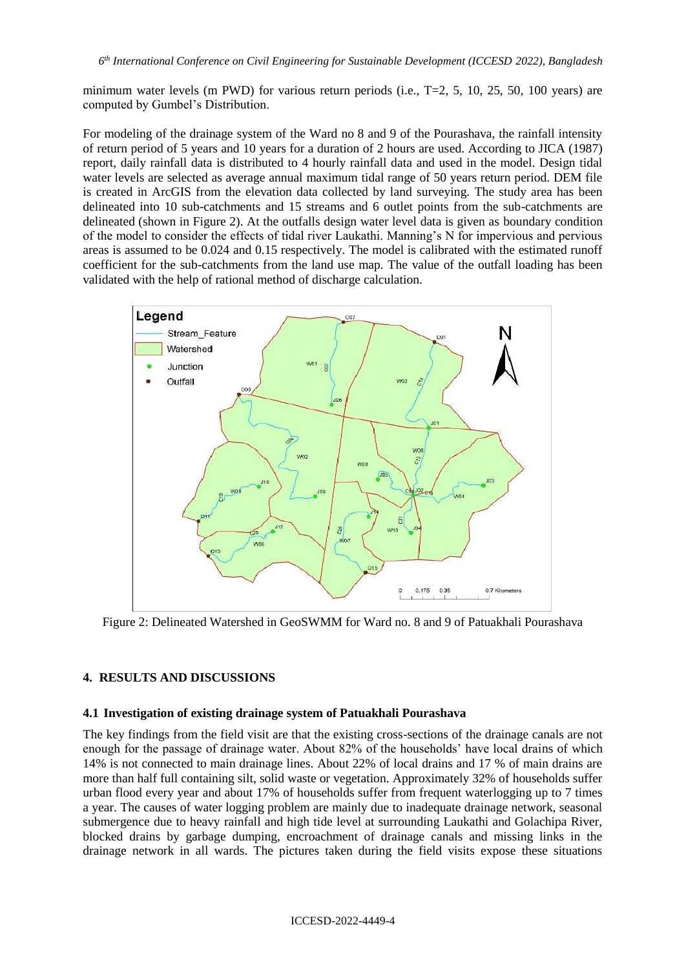minimum water levels (m PWD) for various return periods (i.e.,  $T=2$ , 5, 10, 25, 50, 100 years) are computed by Gumbel's Distribution.

For modeling of the drainage system of the Ward no 8 and 9 of the Pourashava, the rainfall intensity of return period of 5 years and 10 years for a duration of 2 hours are used. According to JICA (1987) report, daily rainfall data is distributed to 4 hourly rainfall data and used in the model. Design tidal water levels are selected as average annual maximum tidal range of 50 years return period. DEM file is created in ArcGIS from the elevation data collected by land surveying. The study area has been delineated into 10 sub-catchments and 15 streams and 6 outlet points from the sub-catchments are delineated (shown in Figure 2). At the outfalls design water level data is given as boundary condition of the model to consider the effects of tidal river Laukathi. Manning's N for impervious and pervious areas is assumed to be 0.024 and 0.15 respectively. The model is calibrated with the estimated runoff coefficient for the sub-catchments from the land use map. The value of the outfall loading has been validated with the help of rational method of discharge calculation.



Figure 2: Delineated Watershed in GeoSWMM for Ward no. 8 and 9 of Patuakhali Pourashava

### **4. RESULTS AND DISCUSSIONS**

#### **4.1 Investigation of existing drainage system of Patuakhali Pourashava**

The key findings from the field visit are that the existing cross-sections of the drainage canals are not enough for the passage of drainage water. About 82% of the households' have local drains of which 14% is not connected to main drainage lines. About 22% of local drains and 17 % of main drains are more than half full containing silt, solid waste or vegetation. Approximately 32% of households suffer urban flood every year and about 17% of households suffer from frequent waterlogging up to 7 times a year. The causes of water logging problem are mainly due to inadequate drainage network, seasonal submergence due to heavy rainfall and high tide level at surrounding Laukathi and Golachipa River, blocked drains by garbage dumping, encroachment of drainage canals and missing links in the drainage network in all wards. The pictures taken during the field visits expose these situations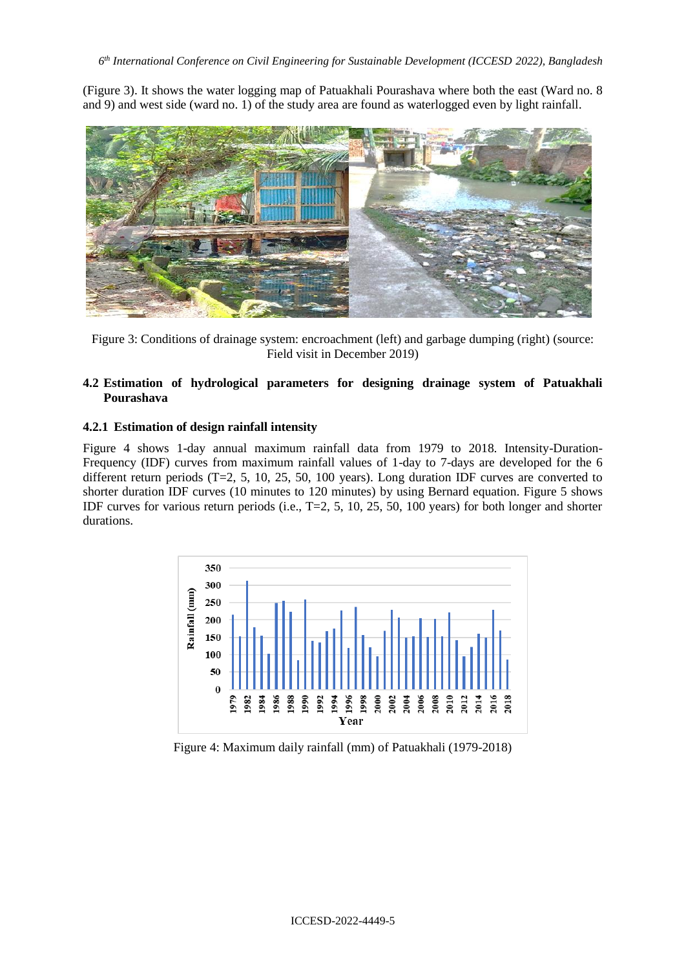(Figure 3). It shows the water logging map of Patuakhali Pourashava where both the east (Ward no. 8 and 9) and west side (ward no. 1) of the study area are found as waterlogged even by light rainfall.



Figure 3: Conditions of drainage system: encroachment (left) and garbage dumping (right) (source: Field visit in December 2019)

## **4.2 Estimation of hydrological parameters for designing drainage system of Patuakhali Pourashava**

### **4.2.1 Estimation of design rainfall intensity**

Figure 4 shows 1-day annual maximum rainfall data from 1979 to 2018. Intensity-Duration-Frequency (IDF) curves from maximum rainfall values of 1-day to 7-days are developed for the 6 different return periods  $(T=2, 5, 10, 25, 50, 100$  years). Long duration IDF curves are converted to shorter duration IDF curves (10 minutes to 120 minutes) by using Bernard equation. Figure 5 shows IDF curves for various return periods (i.e., T=2, 5, 10, 25, 50, 100 years) for both longer and shorter durations.



Figure 4: Maximum daily rainfall (mm) of Patuakhali (1979-2018)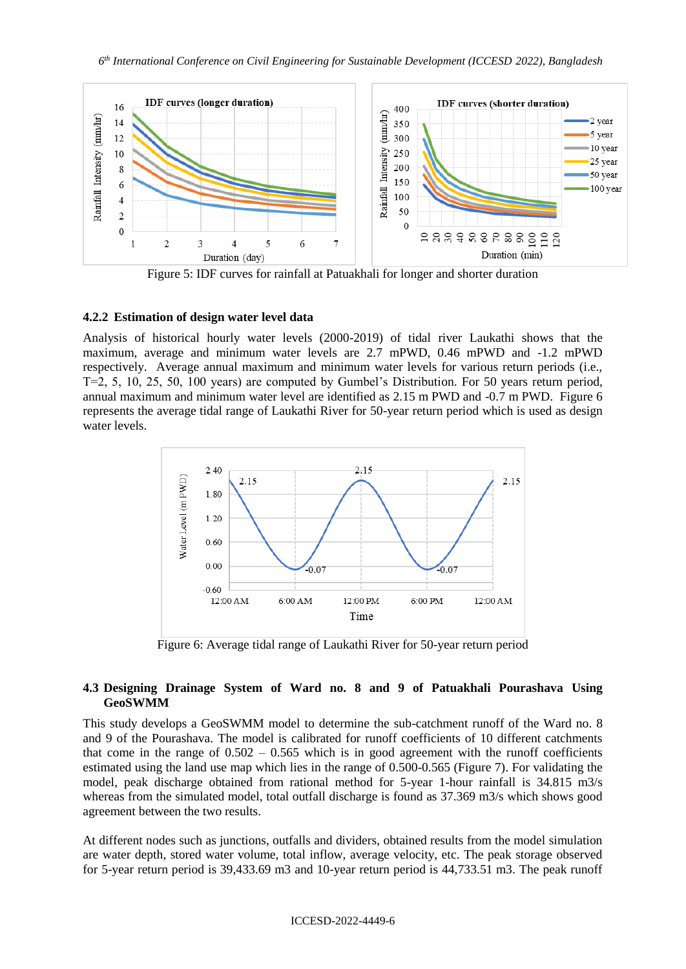

Figure 5: IDF curves for rainfall at Patuakhali for longer and shorter duration

#### **4.2.2 Estimation of design water level data**

Analysis of historical hourly water levels (2000-2019) of tidal river Laukathi shows that the maximum, average and minimum water levels are 2.7 mPWD, 0.46 mPWD and -1.2 mPWD respectively. Average annual maximum and minimum water levels for various return periods (i.e., T=2, 5, 10, 25, 50, 100 years) are computed by Gumbel's Distribution. For 50 years return period, annual maximum and minimum water level are identified as 2.15 m PWD and -0.7 m PWD. Figure 6 represents the average tidal range of Laukathi River for 50-year return period which is used as design water levels.



Figure 6: Average tidal range of Laukathi River for 50-year return period

### **4.3 Designing Drainage System of Ward no. 8 and 9 of Patuakhali Pourashava Using GeoSWMM**

This study develops a GeoSWMM model to determine the sub-catchment runoff of the Ward no. 8 and 9 of the Pourashava. The model is calibrated for runoff coefficients of 10 different catchments that come in the range of  $0.502 - 0.565$  which is in good agreement with the runoff coefficients estimated using the land use map which lies in the range of 0.500-0.565 (Figure 7). For validating the model, peak discharge obtained from rational method for 5-year 1-hour rainfall is 34.815 m3/s whereas from the simulated model, total outfall discharge is found as 37.369 m3/s which shows good agreement between the two results.

At different nodes such as junctions, outfalls and dividers, obtained results from the model simulation are water depth, stored water volume, total inflow, average velocity, etc. The peak storage observed for 5-year return period is 39,433.69 m3 and 10-year return period is 44,733.51 m3. The peak runoff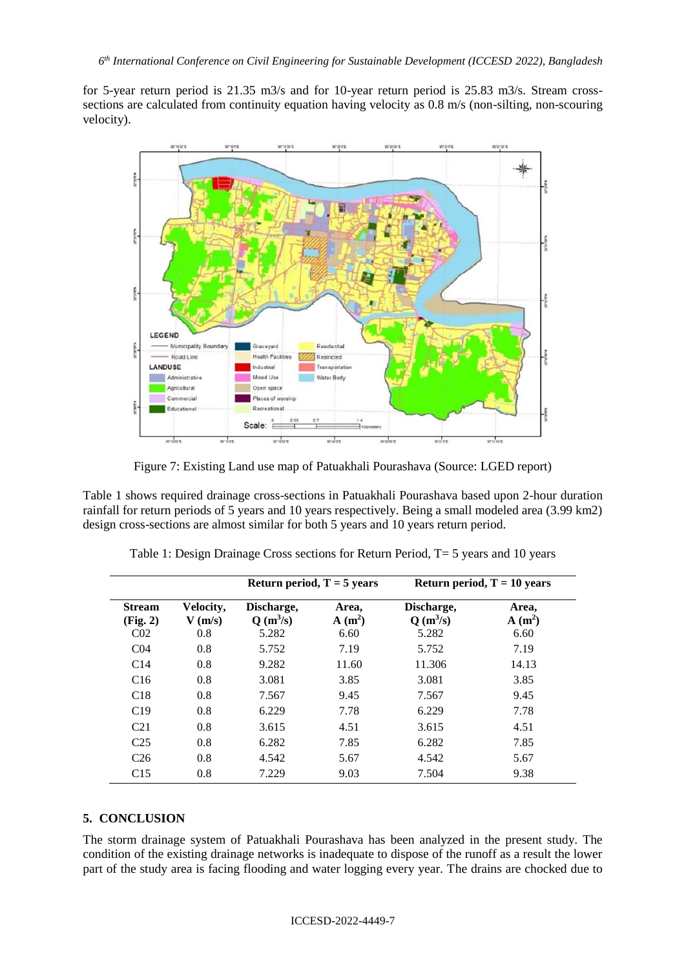for 5-year return period is 21.35 m3/s and for 10-year return period is 25.83 m3/s. Stream crosssections are calculated from continuity equation having velocity as 0.8 m/s (non-silting, non-scouring velocity).



Figure 7: Existing Land use map of Patuakhali Pourashava (Source: LGED report)

Table 1 shows required drainage cross-sections in Patuakhali Pourashava based upon 2-hour duration rainfall for return periods of 5 years and 10 years respectively. Being a small modeled area (3.99 km2) design cross-sections are almost similar for both 5 years and 10 years return period.

|                                              |                               | Return period, $T = 5$ years      |                           | Return period, $T = 10$ years     |                           |  |  |
|----------------------------------------------|-------------------------------|-----------------------------------|---------------------------|-----------------------------------|---------------------------|--|--|
| <b>Stream</b><br>(Fig. 2)<br>CO <sub>2</sub> | Velocity,<br>$V$ (m/s)<br>0.8 | Discharge,<br>$Q(m^3/s)$<br>5.282 | Area,<br>$A(m^2)$<br>6.60 | Discharge,<br>$Q(m^3/s)$<br>5.282 | Area,<br>$A(m^2)$<br>6.60 |  |  |
| C <sub>04</sub>                              | 0.8                           | 5.752                             | 7.19                      | 5.752                             | 7.19                      |  |  |
| C14                                          | 0.8                           | 9.282                             | 11.60                     | 11.306                            | 14.13                     |  |  |
| C16                                          | 0.8                           | 3.081                             | 3.85                      | 3.081                             | 3.85                      |  |  |
| C18                                          | 0.8                           | 7.567                             | 9.45                      | 7.567                             | 9.45                      |  |  |
| C19                                          | 0.8                           | 6.229                             | 7.78                      | 6.229                             | 7.78                      |  |  |
| C <sub>21</sub>                              | 0.8                           | 3.615                             | 4.51                      | 3.615                             | 4.51                      |  |  |
| C <sub>25</sub>                              | 0.8                           | 6.282                             | 7.85                      | 6.282                             | 7.85                      |  |  |
| C <sub>26</sub>                              | 0.8                           | 4.542                             | 5.67                      | 4.542                             | 5.67                      |  |  |
| C15                                          | 0.8                           | 7.229                             | 9.03                      | 7.504                             | 9.38                      |  |  |

|  | Table 1: Design Drainage Cross sections for Return Period, T= 5 years and 10 years |  |  |  |  |  |
|--|------------------------------------------------------------------------------------|--|--|--|--|--|
|  |                                                                                    |  |  |  |  |  |

#### **5. CONCLUSION**

The storm drainage system of Patuakhali Pourashava has been analyzed in the present study. The condition of the existing drainage networks is inadequate to dispose of the runoff as a result the lower part of the study area is facing flooding and water logging every year. The drains are chocked due to